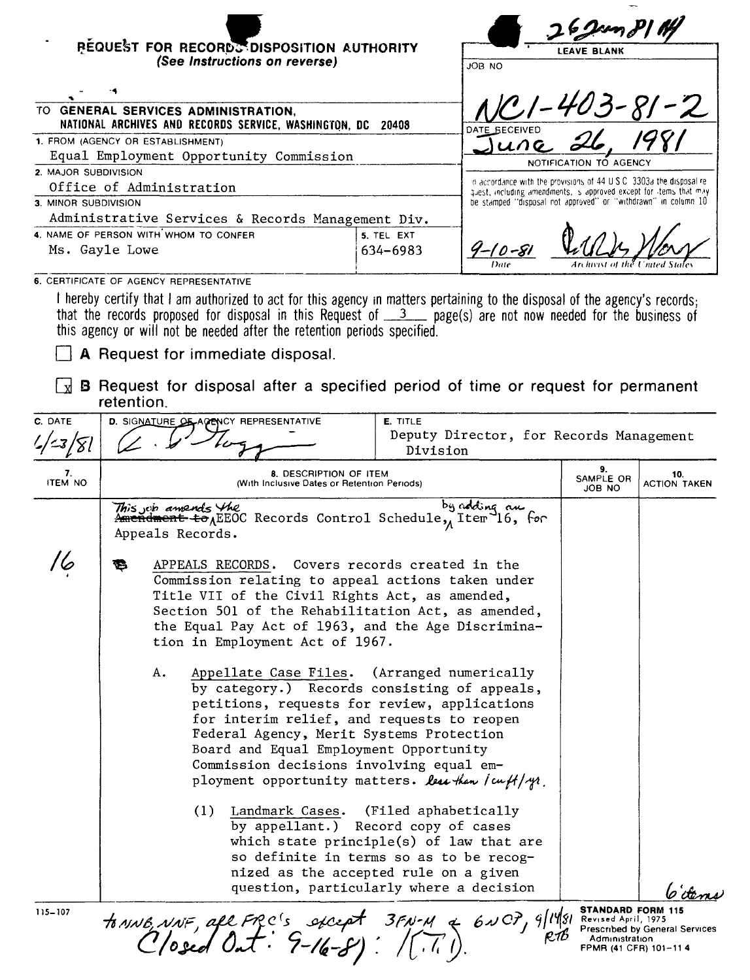| <b>REQUEST FOR RECORDS DISPOSITION AUTHORITY</b><br>(See Instructions on reverse) |                                                                                                                                                                                                                                                                                                         |                                                                                                                                                                                                                                                                                                                                    |                                                                       |                                                                                                                                                                                                                                                                                                                                                                                                | ∦ /Y مردمن<br><b>LEAVE BLANK</b>        |                                                    |                                       |
|-----------------------------------------------------------------------------------|---------------------------------------------------------------------------------------------------------------------------------------------------------------------------------------------------------------------------------------------------------------------------------------------------------|------------------------------------------------------------------------------------------------------------------------------------------------------------------------------------------------------------------------------------------------------------------------------------------------------------------------------------|-----------------------------------------------------------------------|------------------------------------------------------------------------------------------------------------------------------------------------------------------------------------------------------------------------------------------------------------------------------------------------------------------------------------------------------------------------------------------------|-----------------------------------------|----------------------------------------------------|---------------------------------------|
|                                                                                   |                                                                                                                                                                                                                                                                                                         |                                                                                                                                                                                                                                                                                                                                    |                                                                       |                                                                                                                                                                                                                                                                                                                                                                                                | JOB NO                                  |                                                    |                                       |
|                                                                                   |                                                                                                                                                                                                                                                                                                         | TO GENERAL SERVICES ADMINISTRATION,<br>NATIONAL ARCHIVES AND RECORDS SERVICE, WASHINGTON, DC                                                                                                                                                                                                                                       |                                                                       | 20408                                                                                                                                                                                                                                                                                                                                                                                          |                                         | <u>-403-81-2</u>                                   |                                       |
|                                                                                   |                                                                                                                                                                                                                                                                                                         | 1. FROM (AGENCY OR ESTABLISHMENT)                                                                                                                                                                                                                                                                                                  |                                                                       |                                                                                                                                                                                                                                                                                                                                                                                                |                                         |                                                    |                                       |
|                                                                                   |                                                                                                                                                                                                                                                                                                         | Equal Employment Opportunity Commission                                                                                                                                                                                                                                                                                            |                                                                       | NOTIFICATION TO AGENCY                                                                                                                                                                                                                                                                                                                                                                         |                                         |                                                    |                                       |
| 2. MAJOR SUBDIVISION                                                              |                                                                                                                                                                                                                                                                                                         |                                                                                                                                                                                                                                                                                                                                    |                                                                       | in accordance with the provisions of 44 U.S.C. 3303a the disposal re-                                                                                                                                                                                                                                                                                                                          |                                         |                                                    |                                       |
|                                                                                   |                                                                                                                                                                                                                                                                                                         | Office of Administration                                                                                                                                                                                                                                                                                                           |                                                                       | quest, including amendments, is approved except for items that may                                                                                                                                                                                                                                                                                                                             |                                         |                                                    |                                       |
| 3. MINOR SUBDIVISION                                                              |                                                                                                                                                                                                                                                                                                         |                                                                                                                                                                                                                                                                                                                                    |                                                                       | be stamped "disposal not approved" or "withdrawn" in column 10                                                                                                                                                                                                                                                                                                                                 |                                         |                                                    |                                       |
|                                                                                   |                                                                                                                                                                                                                                                                                                         | Administrative Services & Records Management Div.                                                                                                                                                                                                                                                                                  |                                                                       |                                                                                                                                                                                                                                                                                                                                                                                                |                                         |                                                    |                                       |
| 4. NAME OF PERSON WITH WHOM TO CONFER<br>Ms. Gayle Lowe                           |                                                                                                                                                                                                                                                                                                         |                                                                                                                                                                                                                                                                                                                                    |                                                                       | 5. TEL EXT<br>634-6983                                                                                                                                                                                                                                                                                                                                                                         | $9 - 10 - 81$                           |                                                    |                                       |
|                                                                                   |                                                                                                                                                                                                                                                                                                         | 6. CERTIFICATE OF AGENCY REPRESENTATIVE                                                                                                                                                                                                                                                                                            |                                                                       |                                                                                                                                                                                                                                                                                                                                                                                                |                                         |                                                    |                                       |
|                                                                                   | retention.                                                                                                                                                                                                                                                                                              | that the records proposed for disposal in this Request of $\frac{3}{2}$ page(s) are not now needed for the business of<br>this agency or will not be needed after the retention periods specified.<br>A Request for immediate disposal.<br><b>B</b> Request for disposal after a specified period of time or request for permanent |                                                                       |                                                                                                                                                                                                                                                                                                                                                                                                |                                         |                                                    |                                       |
| C. DATE                                                                           |                                                                                                                                                                                                                                                                                                         | D. SIGNATURE OF AGENCY REPRESENTATIVE                                                                                                                                                                                                                                                                                              |                                                                       | E. TITLE                                                                                                                                                                                                                                                                                                                                                                                       |                                         |                                                    |                                       |
|                                                                                   |                                                                                                                                                                                                                                                                                                         |                                                                                                                                                                                                                                                                                                                                    |                                                                       |                                                                                                                                                                                                                                                                                                                                                                                                | Deputy Director, for Records Management |                                                    |                                       |
| '=3/8l                                                                            |                                                                                                                                                                                                                                                                                                         |                                                                                                                                                                                                                                                                                                                                    |                                                                       | Division                                                                                                                                                                                                                                                                                                                                                                                       |                                         |                                                    |                                       |
| 7.<br><b>ITEM NO</b>                                                              |                                                                                                                                                                                                                                                                                                         |                                                                                                                                                                                                                                                                                                                                    | 8. DESCRIPTION OF ITEM<br>(With Inclusive Dates or Retention Periods) |                                                                                                                                                                                                                                                                                                                                                                                                |                                         | 9.<br>SAMPLE OR<br>JOB NO                          | 10.<br><b>ACTION TAKEN</b>            |
|                                                                                   |                                                                                                                                                                                                                                                                                                         | <i>This job amends the</i><br>Amendment to <sub>A</sub> EEOC Records Control Schedule, Item 16, for<br>Appeals Records.                                                                                                                                                                                                            |                                                                       |                                                                                                                                                                                                                                                                                                                                                                                                | by adding an                            |                                                    |                                       |
|                                                                                   | APPEALS RECORDS.<br>Covers records created in the<br>Commission relating to appeal actions taken under<br>Title VII of the Civil Rights Act, as amended,<br>Section 501 of the Rehabilitation Act, as amended,<br>the Equal Pay Act of 1963, and the Age Discrimina-<br>tion in Employment Act of 1967. |                                                                                                                                                                                                                                                                                                                                    |                                                                       |                                                                                                                                                                                                                                                                                                                                                                                                |                                         |                                                    |                                       |
|                                                                                   |                                                                                                                                                                                                                                                                                                         | A.                                                                                                                                                                                                                                                                                                                                 |                                                                       | Appellate Case Files. (Arranged numerically<br>by category.) Records consisting of appeals,<br>petitions, requests for review, applications<br>for interim relief, and requests to reopen<br>Federal Agency, Merit Systems Protection<br>Board and Equal Employment Opportunity<br>Commission decisions involving equal em-<br>ployment opportunity matters. less than $\int c u f / \gamma$ . |                                         |                                                    |                                       |
|                                                                                   |                                                                                                                                                                                                                                                                                                         | (1)                                                                                                                                                                                                                                                                                                                                | Landmark Cases.                                                       | (Filed aphabetically<br>by appellant.) Record copy of cases<br>which state principle(s) of law that are<br>so definite in terms so as to be recog-<br>nized as the accepted rule on a given<br>question, particularly where a decision                                                                                                                                                         |                                         |                                                    |                                       |
| 115-107                                                                           |                                                                                                                                                                                                                                                                                                         | to NNE, NNF, all FRC's sicept 3FN-14 & 6NCP, 9/14/81 SENISORIORENT 1975                                                                                                                                                                                                                                                            |                                                                       |                                                                                                                                                                                                                                                                                                                                                                                                |                                         | <b>STANDARD FORM 115</b><br>FPMR (41 CFR) 101-11 4 | <b>Prescribed by General Services</b> |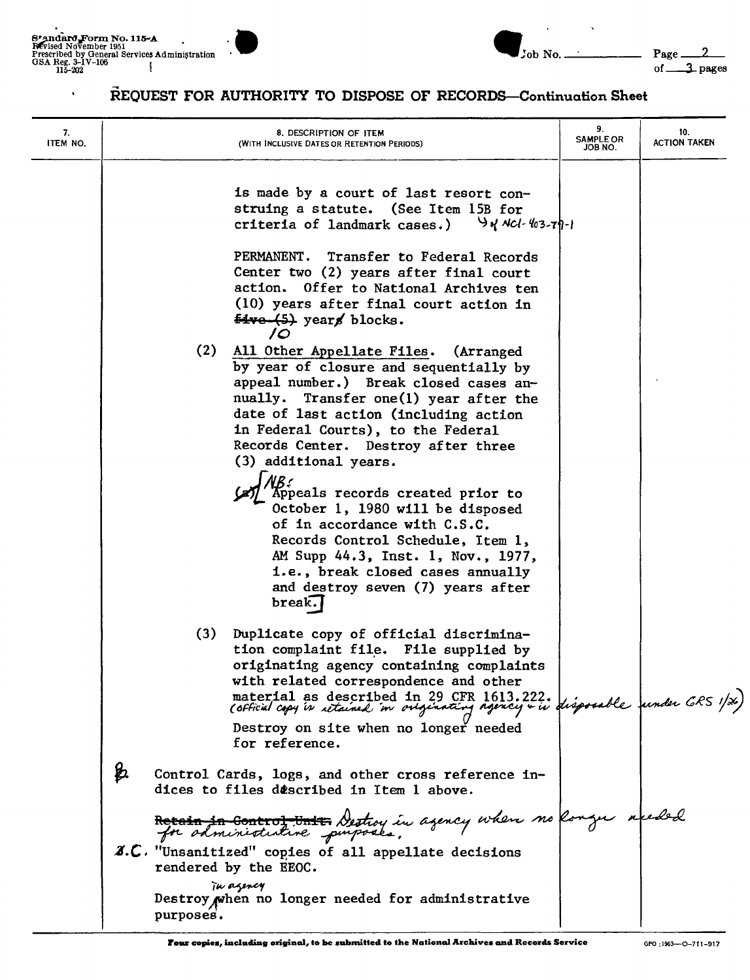$\hat{\phantom{a}}$ 





## REQUEST FOR AUTHORITY TO DISPOSE OF RECORDS-Continuation Sheet

| 7.<br>ITEM NO. | 8. DESCRIPTION OF ITEM<br>(WITH INCLUSIVE DATES OR RETENTION PERIODS)                                                                                                                                                                                                                                                 | 9.<br><b>SAMPLE OR</b><br>JOB NO. | 10.<br><b>ACTION TAKEN</b> |
|----------------|-----------------------------------------------------------------------------------------------------------------------------------------------------------------------------------------------------------------------------------------------------------------------------------------------------------------------|-----------------------------------|----------------------------|
|                | is made by a court of last resort con-<br>struing a statute. (See Item 15B for<br>criteria of landmark cases.)<br>$94$ NCl-403-79-1                                                                                                                                                                                   |                                   |                            |
|                | PERMANENT.<br>Transfer to Federal Records<br>Center two (2) years after final court<br>action. Offer to National Archives ten<br>(10) years after final court action in<br>five (5) years blocks.<br>$\overline{\prime}$                                                                                              |                                   |                            |
|                | (2) All Other Appellate Files. (Arranged<br>by year of closure and sequentially by<br>appeal number.) Break closed cases an-<br>nually. Transfer one(1) year after the<br>date of last action (including action<br>in Federal Courts), to the Federal<br>Records Center. Destroy after three<br>(3) additional years. |                                   |                            |
|                | Appeals records created prior to<br>October 1, 1980 will be disposed<br>of in accordance with C.S.C.<br>Records Control Schedule, Item 1,<br>AM Supp 44.3, Inst. 1, Nov., 1977,<br>i.e., break closed cases annually<br>and destroy seven (7) years after<br>break.                                                   |                                   |                            |
|                | (3)<br>Duplicate copy of official discrimina-<br>tion complaint file. File supplied by<br>originating agency containing complaints<br>with related correspondence and other<br>material as described in 29 CFR 1613.222.<br>Cofficial copy is retained in originating agency + is disposable funder GRS 1/26)         |                                   |                            |
|                | Destroy on site when no longer needed<br>for reference.                                                                                                                                                                                                                                                               |                                   |                            |
|                | Þ.<br>Control Cards, logs, and other cross reference in-<br>dices to files described in Item 1 above.                                                                                                                                                                                                                 |                                   |                            |
|                | Receipt in Control United Destroy in agency when no konger readed<br>for administrative purposes.                                                                                                                                                                                                                     |                                   |                            |
|                | X.C. "Unsanitized" copies of all appellate decisions<br>rendered by the EEOC.                                                                                                                                                                                                                                         |                                   |                            |
|                | Tu agency<br>Destroy when no longer needed for administrative<br>purposes.                                                                                                                                                                                                                                            |                                   |                            |